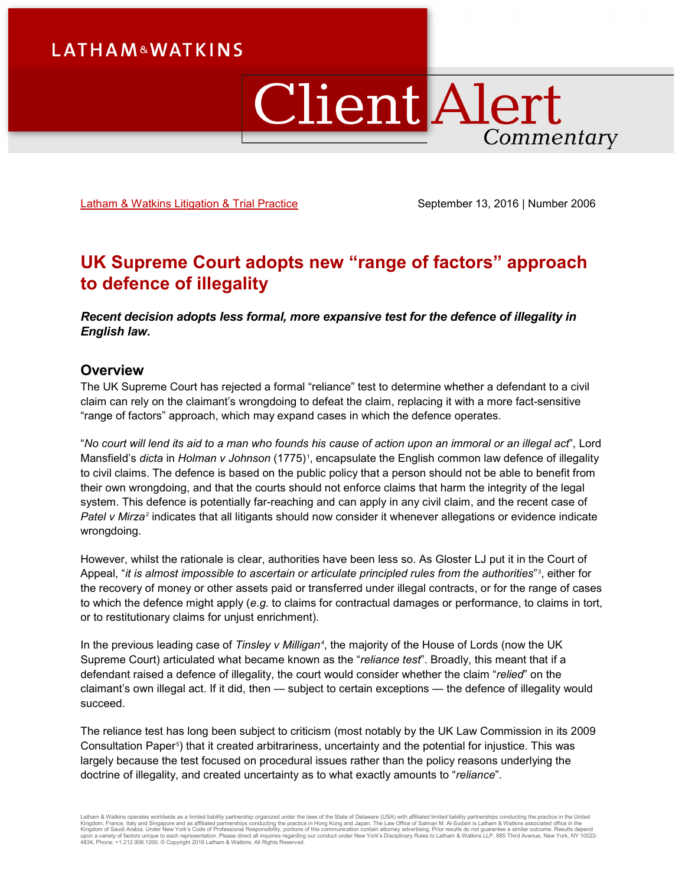# **Client Alert** Commentary

[Latham & Watkins Litigation](https://www.lw.com/practices/Litigation) & Trial Practice September 13, 2016 | Number 2006

## **UK Supreme Court adopts new "range of factors" approach to defence of illegality**

*Recent decision adopts less formal, more expansive test for the defence of illegality in English law.* 

#### **Overview**

The UK Supreme Court has rejected a formal "reliance" test to determine whether a defendant to a civil claim can rely on the claimant's wrongdoing to defeat the claim, replacing it with a more fact-sensitive "range of factors" approach, which may expand cases in which the defence operates.

"*No court will lend its aid to a man who founds his cause of action upon an immoral or an illegal act*", Lord Mansfield's *dicta* in *Holman v Johnson* ([1](#page-3-0)775)1, encapsulate the English common law defence of illegality to civil claims. The defence is based on the public policy that a person should not be able to benefit from their own wrongdoing, and that the courts should not enforce claims that harm the integrity of the legal system. This defence is potentially far-reaching and can apply in any civil claim, and the recent case of *Patel v Mirza[2](#page-3-1)* indicates that all litigants should now consider it whenever allegations or evidence indicate wrongdoing.

However, whilst the rationale is clear, authorities have been less so. As Gloster LJ put it in the Court of Appeal, "*it is almost impossible to ascertain or articulate principled rules from the authorities*"[3](#page-3-2) , either for the recovery of money or other assets paid or transferred under illegal contracts, or for the range of cases to which the defence might apply (*e.g.* to claims for contractual damages or performance, to claims in tort, or to restitutionary claims for unjust enrichment).

In the previous leading case of *Tinsley v Milligan[4](#page-3-3)* , the majority of the House of Lords (now the UK Supreme Court) articulated what became known as the "*reliance test*". Broadly, this meant that if a defendant raised a defence of illegality, the court would consider whether the claim "*relied*" on the claimant's own illegal act. If it did, then — subject to certain exceptions — the defence of illegality would succeed.

The reliance test has long been subject to criticism (most notably by the UK Law Commission in its 2009 Consultation Paper $^{\circ}$ ) that it created arbitrariness, uncertainty and the potential for injustice. This was largely because the test focused on procedural issues rather than the policy reasons underlying the doctrine of illegality, and created uncertainty as to what exactly amounts to "*reliance*".

Latham & Watkins operates worldwide as a limited liability partnership organized under the laws of the State of Delaware (USA) with affiliated limited liability partnerships conducting the practice in the United<br>Kingdom of 4834, Phone: +1.212.906.1200. © Copyright 2016 Latham & Watkins. All Rights Reserved.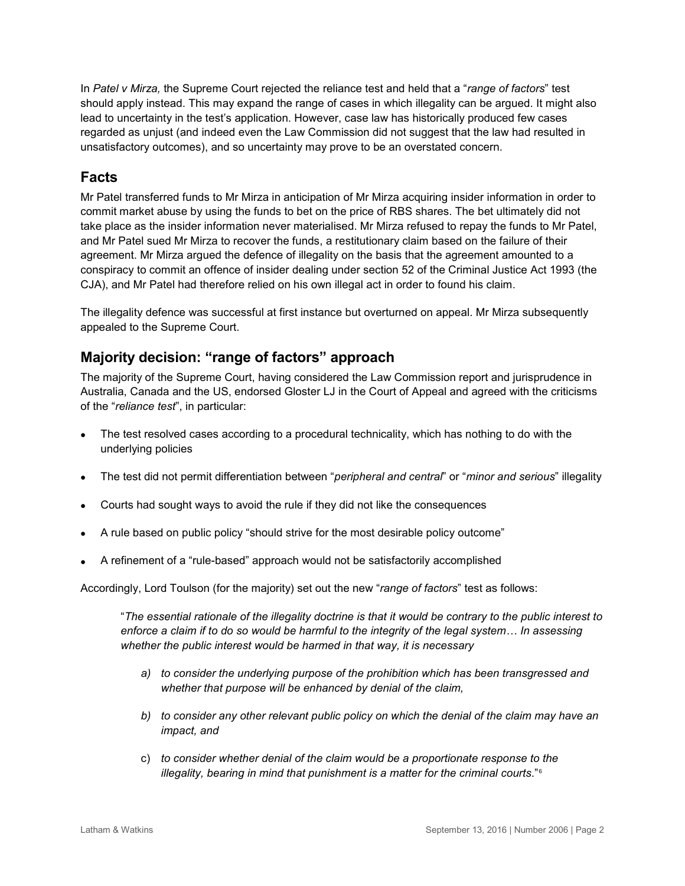In *Patel v Mirza,* the Supreme Court rejected the reliance test and held that a "*range of factors*" test should apply instead. This may expand the range of cases in which illegality can be argued. It might also lead to uncertainty in the test's application. However, case law has historically produced few cases regarded as unjust (and indeed even the Law Commission did not suggest that the law had resulted in unsatisfactory outcomes), and so uncertainty may prove to be an overstated concern.

## **Facts**

Mr Patel transferred funds to Mr Mirza in anticipation of Mr Mirza acquiring insider information in order to commit market abuse by using the funds to bet on the price of RBS shares. The bet ultimately did not take place as the insider information never materialised. Mr Mirza refused to repay the funds to Mr Patel, and Mr Patel sued Mr Mirza to recover the funds, a restitutionary claim based on the failure of their agreement. Mr Mirza argued the defence of illegality on the basis that the agreement amounted to a conspiracy to commit an offence of insider dealing under section 52 of the Criminal Justice Act 1993 (the CJA), and Mr Patel had therefore relied on his own illegal act in order to found his claim.

The illegality defence was successful at first instance but overturned on appeal. Mr Mirza subsequently appealed to the Supreme Court.

## **Majority decision: "range of factors" approach**

The majority of the Supreme Court, having considered the Law Commission report and jurisprudence in Australia, Canada and the US, endorsed Gloster LJ in the Court of Appeal and agreed with the criticisms of the "*reliance test*", in particular:

- The test resolved cases according to a procedural technicality, which has nothing to do with the underlying policies
- The test did not permit differentiation between "*peripheral and central*" or "*minor and serious*" illegality
- Courts had sought ways to avoid the rule if they did not like the consequences
- A rule based on public policy "should strive for the most desirable policy outcome"
- A refinement of a "rule-based" approach would not be satisfactorily accomplished

Accordingly, Lord Toulson (for the majority) set out the new "*range of factors*" test as follows:

"*The essential rationale of the illegality doctrine is that it would be contrary to the public interest to enforce a claim if to do so would be harmful to the integrity of the legal system… In assessing whether the public interest would be harmed in that way, it is necessary* 

- *a) to consider the underlying purpose of the prohibition which has been transgressed and whether that purpose will be enhanced by denial of the claim,*
- *b) to consider any other relevant public policy on which the denial of the claim may have an impact, and*
- c) *to consider whether denial of the claim would be a proportionate response to the illegality, bearing in mind that punishment is a matter for the criminal courts*."[6](#page-3-5)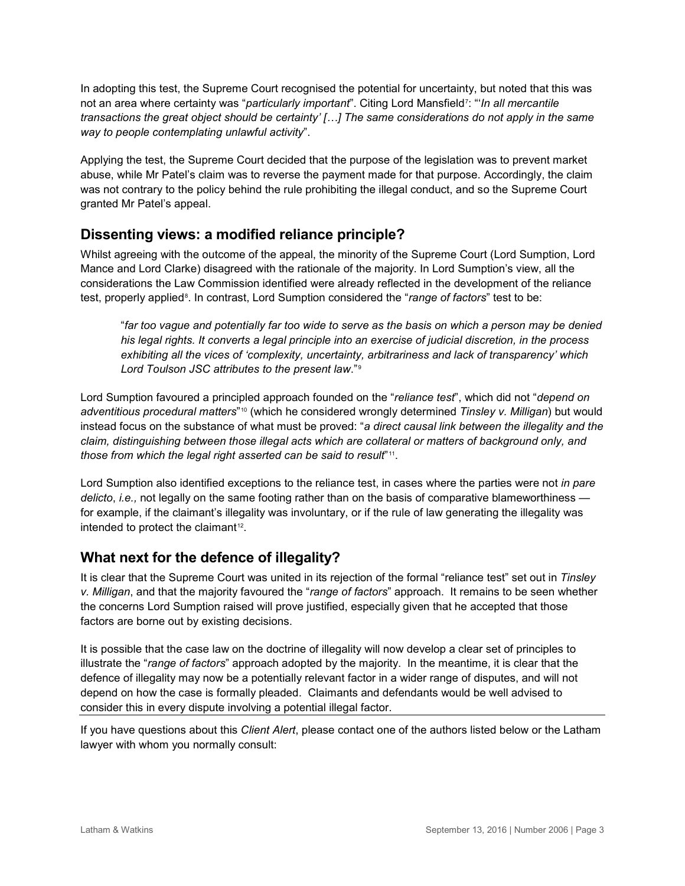In adopting this test, the Supreme Court recognised the potential for uncertainty, but noted that this was not an area where certainty was "*particularly important*". Citing Lord Mansfield[7](#page-3-6) : "'*In all mercantile transactions the great object should be certainty' […] The same considerations do not apply in the same way to people contemplating unlawful activity*".

Applying the test, the Supreme Court decided that the purpose of the legislation was to prevent market abuse, while Mr Patel's claim was to reverse the payment made for that purpose. Accordingly, the claim was not contrary to the policy behind the rule prohibiting the illegal conduct, and so the Supreme Court granted Mr Patel's appeal.

## **Dissenting views: a modified reliance principle?**

Whilst agreeing with the outcome of the appeal, the minority of the Supreme Court (Lord Sumption, Lord Mance and Lord Clarke) disagreed with the rationale of the majority. In Lord Sumption's view, all the considerations the Law Commission identified were already reflected in the development of the reliance test, properly applied<sup>s</sup>. In contrast, Lord Sumption considered the "*range of factors*" test to be:

"*far too vague and potentially far too wide to serve as the basis on which a person may be denied his legal rights. It converts a legal principle into an exercise of judicial discretion, in the process exhibiting all the vices of 'complexity, uncertainty, arbitrariness and lack of transparency' which Lord Toulson JSC attributes to the present law*."[9](#page-3-8)

Lord Sumption favoured a principled approach founded on the "*reliance test*", which did not "*depend on adventitious procedural matters*"[10](#page-3-9) (which he considered wrongly determined *Tinsley v. Milligan*) but would instead focus on the substance of what must be proved: "*a direct causal link between the illegality and the claim, distinguishing between those illegal acts which are collateral or matters of background only, and those from which the legal right asserted can be said to result*"[11](#page-3-10).

Lord Sumption also identified exceptions to the reliance test, in cases where the parties were not *in pare delicto*, *i.e.,* not legally on the same footing rather than on the basis of comparative blameworthiness for example, if the claimant's illegality was involuntary, or if the rule of law generating the illegality was intended to protect the claimant<sup>12</sup>.

## **What next for the defence of illegality?**

It is clear that the Supreme Court was united in its rejection of the formal "reliance test" set out in *Tinsley v. Milligan*, and that the majority favoured the "*range of factors*" approach. It remains to be seen whether the concerns Lord Sumption raised will prove justified, especially given that he accepted that those factors are borne out by existing decisions.

It is possible that the case law on the doctrine of illegality will now develop a clear set of principles to illustrate the "*range of factors*" approach adopted by the majority. In the meantime, it is clear that the defence of illegality may now be a potentially relevant factor in a wider range of disputes, and will not depend on how the case is formally pleaded. Claimants and defendants would be well advised to consider this in every dispute involving a potential illegal factor.

If you have questions about this *Client Alert*, please contact one of the authors listed below or the Latham lawyer with whom you normally consult: